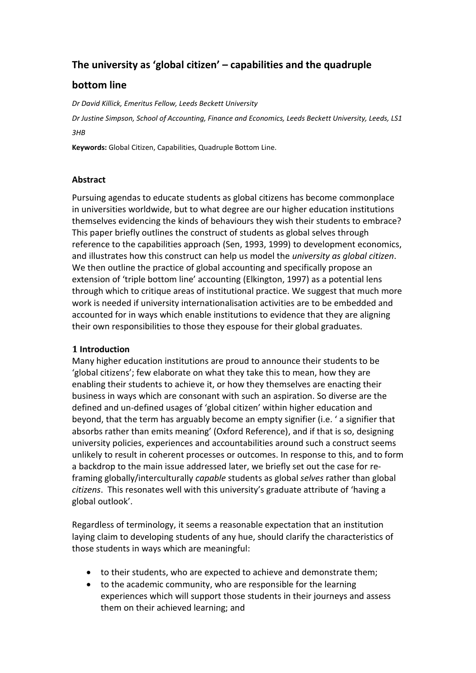# **The university as 'global citizen' – capabilities and the quadruple**

## **bottom line**

*Dr David Killick, Emeritus Fellow, Leeds Beckett University*

*Dr Justine Simpson, School of Accounting, Finance and Economics, Leeds Beckett University, Leeds, LS1 3HB* 

**Keywords:** Global Citizen, Capabilities, Quadruple Bottom Line.

## **Abstract**

Pursuing agendas to educate students as global citizens has become commonplace in universities worldwide, but to what degree are our higher education institutions themselves evidencing the kinds of behaviours they wish their students to embrace? This paper briefly outlines the construct of students as global selves through reference to the capabilities approach (Sen, 1993, 1999) to development economics, and illustrates how this construct can help us model the *university as global citizen*. We then outline the practice of global accounting and specifically propose an extension of 'triple bottom line' accounting (Elkington, 1997) as a potential lens through which to critique areas of institutional practice. We suggest that much more work is needed if university internationalisation activities are to be embedded and accounted for in ways which enable institutions to evidence that they are aligning their own responsibilities to those they espouse for their global graduates.

## **1 Introduction**

Many higher education institutions are proud to announce their students to be 'global citizens'; few elaborate on what they take this to mean, how they are enabling their students to achieve it, or how they themselves are enacting their business in ways which are consonant with such an aspiration. So diverse are the defined and un-defined usages of 'global citizen' within higher education and beyond, that the term has arguably become an empty signifier (i.e. ' a signifier that absorbs rather than emits meaning' (Oxford Reference), and if that is so, designing university policies, experiences and accountabilities around such a construct seems unlikely to result in coherent processes or outcomes. In response to this, and to form a backdrop to the main issue addressed later, we briefly set out the case for reframing globally/interculturally *capable* students as global *selves* rather than global *citizens*. This resonates well with this university's graduate attribute of 'having a global outlook'.

Regardless of terminology, it seems a reasonable expectation that an institution laying claim to developing students of any hue, should clarify the characteristics of those students in ways which are meaningful:

- to their students, who are expected to achieve and demonstrate them;
- to the academic community, who are responsible for the learning experiences which will support those students in their journeys and assess them on their achieved learning; and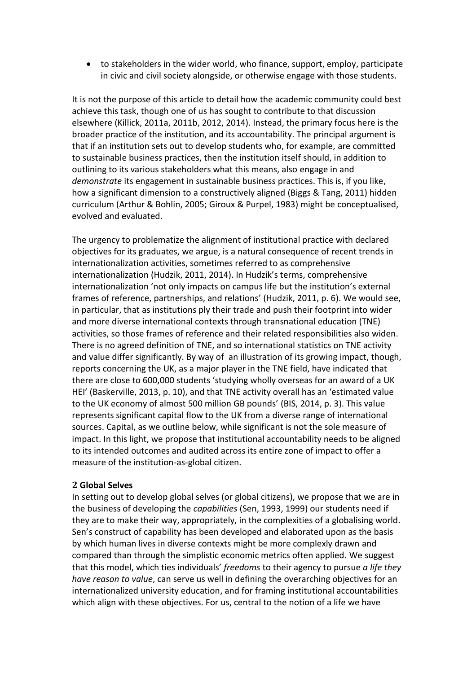to stakeholders in the wider world, who finance, support, employ, participate in civic and civil society alongside, or otherwise engage with those students.

It is not the purpose of this article to detail how the academic community could best achieve this task, though one of us has sought to contribute to that discussion elsewhere [\(Killick, 2011a,](#page-10-0) [2011b,](#page-10-1) [2012,](#page-10-2) [2014\)](#page-10-3). Instead, the primary focus here is the broader practice of the institution, and its accountability. The principal argument is that if an institution sets out to develop students who, for example, are committed to sustainable business practices, then the institution itself should, in addition to outlining to its various stakeholders what this means, also engage in and *demonstrate* its engagement in sustainable business practices. This is, if you like, how a significant dimension to a constructively aligned [\(Biggs & Tang, 2011\)](#page-9-0) hidden curriculum [\(Arthur & Bohlin, 2005;](#page-9-1) [Giroux & Purpel, 1983\)](#page-10-4) might be conceptualised, evolved and evaluated.

The urgency to problematize the alignment of institutional practice with declared objectives for its graduates, we argue, is a natural consequence of recent trends in internationalization activities, sometimes referred to as comprehensive internationalization [\(Hudzik, 2011,](#page-10-5) [2014\)](#page-10-6). In Hudzik's terms, comprehensive internationalization 'not only impacts on campus life but the institution's external frames of reference, partnerships, and relations' [\(Hudzik, 2011, p. 6\)](#page-10-5). We would see, in particular, that as institutions ply their trade and push their footprint into wider and more diverse international contexts through transnational education (TNE) activities, so those frames of reference and their related responsibilities also widen. There is no agreed definition of TNE, and so international statistics on TNE activity and value differ significantly. By way of an illustration of its growing impact, though, reports concerning the UK, as a major player in the TNE field, have indicated that there are close to 600,000 students 'studying wholly overseas for an award of a UK HEI' [\(Baskerville, 2013, p. 10\)](#page-9-2), and that TNE activity overall has an 'estimated value to the UK economy of almost 500 million GB pounds' [\(BIS, 2014, p. 3\)](#page-9-3). This value represents significant capital flow to the UK from a diverse range of international sources. Capital, as we outline below, while significant is not the sole measure of impact. In this light, we propose that institutional accountability needs to be aligned to its intended outcomes and audited across its entire zone of impact to offer a measure of the institution-as-global citizen.

#### **2 Global Selves**

In setting out to develop global selves (or global citizens), we propose that we are in the business of developing the *capabilities* [\(Sen, 1993,](#page-11-0) [1999\)](#page-11-1) our students need if they are to make their way, appropriately, in the complexities of a globalising world. Sen's construct of capability has been developed and elaborated upon as the basis by which human lives in diverse contexts might be more complexly drawn and compared than through the simplistic economic metrics often applied. We suggest that this model, which ties individuals' *freedoms* to their agency to pursue *a life they have reason to value*, can serve us well in defining the overarching objectives for an internationalized university education, and for framing institutional accountabilities which align with these objectives. For us, central to the notion of a life we have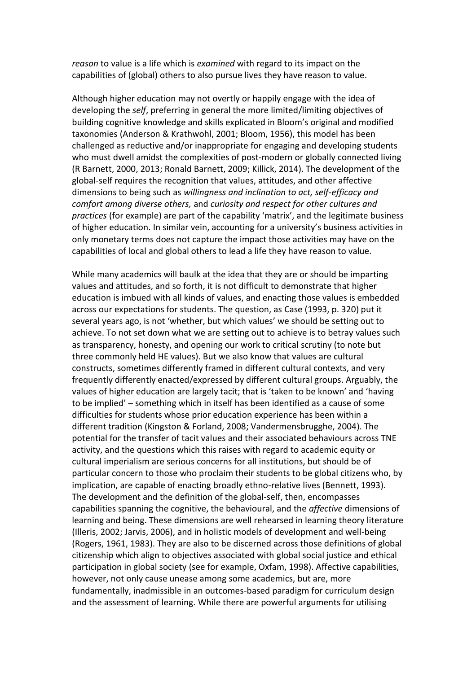*reason* to value is a life which is *examined* with regard to its impact on the capabilities of (global) others to also pursue lives they have reason to value.

Although higher education may not overtly or happily engage with the idea of developing the *self*, preferring in general the more limited/limiting objectives of building cognitive knowledge and skills explicated in Bloom's original and modified taxonomies [\(Anderson & Krathwohl, 2001;](#page-9-4) [Bloom, 1956\)](#page-9-5), this model has been challenged as reductive and/or inappropriate for engaging and developing students who must dwell amidst the complexities of post-modern or globally connected living [\(R Barnett, 2000,](#page-9-6) [2013;](#page-9-7) [Ronald Barnett, 2009;](#page-9-8) [Killick, 2014\)](#page-10-3). The development of the global-self requires the recognition that values, attitudes, and other affective dimensions to being such as *willingness and inclination to act, self-efficacy and comfort among diverse others,* and *curiosity and respect for other cultures and practices* (for example) are part of the capability 'matrix', and the legitimate business of higher education. In similar vein, accounting for a university's business activities in only monetary terms does not capture the impact those activities may have on the capabilities of local and global others to lead a life they have reason to value.

While many academics will baulk at the idea that they are or should be imparting values and attitudes, and so forth, it is not difficult to demonstrate that higher education is imbued with all kinds of values, and enacting those values is embedded across our expectations for students. The question, as Case [\(1993, p. 320\)](#page-9-9) put it several years ago, is not 'whether, but which values' we should be setting out to achieve. To not set down what we are setting out to achieve is to betray values such as transparency, honesty, and opening our work to critical scrutiny (to note but three commonly held HE values). But we also know that values are cultural constructs, sometimes differently framed in different cultural contexts, and very frequently differently enacted/expressed by different cultural groups. Arguably, the values of higher education are largely tacit; that is 'taken to be known' and 'having to be implied' – something which in itself has been identified as a cause of some difficulties for students whose prior education experience has been within a different tradition [\(Kingston & Forland, 2008;](#page-10-7) [Vandermensbrugghe, 2004\)](#page-11-2). The potential for the transfer of tacit values and their associated behaviours across TNE activity, and the questions which this raises with regard to academic equity or cultural imperialism are serious concerns for all institutions, but should be of particular concern to those who proclaim their students to be global citizens who, by implication, are capable of enacting broadly ethno-relative lives [\(Bennett, 1993\)](#page-9-10). The development and the definition of the global-self, then, encompasses capabilities spanning the cognitive, the behavioural, and the *affective* dimensions of learning and being. These dimensions are well rehearsed in learning theory literature [\(Illeris, 2002;](#page-10-8) [Jarvis, 2006\)](#page-10-9), and in holistic models of development and well-being [\(Rogers, 1961,](#page-11-3) [1983\)](#page-11-4). They are also to be discerned across those definitions of global citizenship which align to objectives associated with global social justice and ethical participation in global society [\(see for example, Oxfam, 1998\)](#page-11-5). Affective capabilities, however, not only cause unease among some academics, but are, more fundamentally, inadmissible in an outcomes-based paradigm for curriculum design and the assessment of learning. While there are powerful arguments for utilising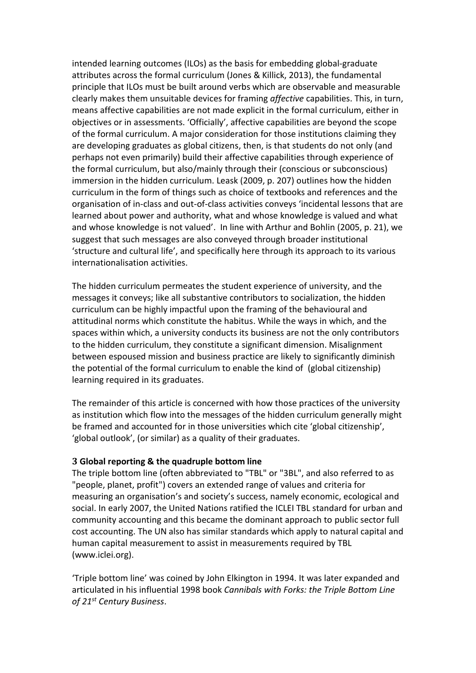intended learning outcomes (ILOs) as the basis for embedding global-graduate attributes across the formal curriculum [\(Jones & Killick, 2013\)](#page-10-10), the fundamental principle that ILOs must be built around verbs which are observable and measurable clearly makes them unsuitable devices for framing *affective* capabilities. This, in turn, means affective capabilities are not made explicit in the formal curriculum, either in objectives or in assessments. 'Officially', affective capabilities are beyond the scope of the formal curriculum. A major consideration for those institutions claiming they are developing graduates as global citizens, then, is that students do not only (and perhaps not even primarily) build their affective capabilities through experience of the formal curriculum, but also/mainly through their (conscious or subconscious) immersion in the hidden curriculum. Leask [\(2009, p. 207\)](#page-11-6) outlines how the hidden curriculum in the form of things such as choice of textbooks and references and the organisation of in-class and out-of-class activities conveys 'incidental lessons that are learned about power and authority, what and whose knowledge is valued and what and whose knowledge is not valued'. In line with Arthur and Bohlin [\(2005, p. 21\)](#page-9-1), we suggest that such messages are also conveyed through broader institutional 'structure and cultural life', and specifically here through its approach to its various internationalisation activities.

The hidden curriculum permeates the student experience of university, and the messages it conveys; like all substantive contributors to socialization, the hidden curriculum can be highly impactful upon the framing of the behavioural and attitudinal norms which constitute the habitus. While the ways in which, and the spaces within which, a university conducts its business are not the only contributors to the hidden curriculum, they constitute a significant dimension. Misalignment between espoused mission and business practice are likely to significantly diminish the potential of the formal curriculum to enable the kind of (global citizenship) learning required in its graduates.

The remainder of this article is concerned with how those practices of the university as institution which flow into the messages of the hidden curriculum generally might be framed and accounted for in those universities which cite 'global citizenship', 'global outlook', (or similar) as a quality of their graduates.

#### **3 Global reporting & the quadruple bottom line**

The triple bottom line (often abbreviated to "TBL" or "3BL", and also referred to as "people, planet, profit") covers an extended range of values and criteria for measuring an organisation's and society's success, namely economic, ecological and social. In early 2007, the [United Nations](http://en.wikipedia.org/wiki/United_Nations) ratified the [ICLEI](http://en.wikipedia.org/wiki/ICLEI) TBL standard for urban and community accounting and this became the dominant approach to [public sector](http://en.wikipedia.org/wiki/Public_sector) [full](http://en.wikipedia.org/wiki/Full_cost_accounting)  [cost accounting.](http://en.wikipedia.org/wiki/Full_cost_accounting) The UN also has similar standards which apply to [natural capital](http://en.wikipedia.org/wiki/Natural_capital) and [human capital](http://en.wikipedia.org/wiki/Human_capital) measurement to assist in measurements required by TBL [\(www.iclei.org\)](http://www.iclei.org/).

'Triple bottom line' was coined by [John Elkington](http://en.wikipedia.org/wiki/John_Elkington) in 1994. It was later expanded and articulated in his influential 1998 book *Cannibals with Forks: the Triple Bottom Line of 21st Century Business*.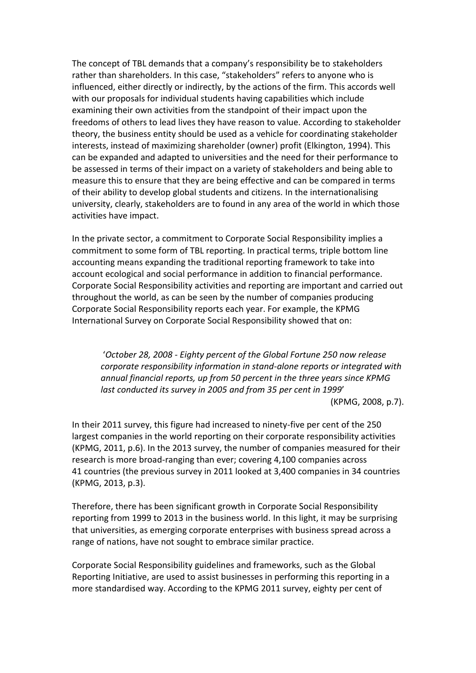The concept of TBL demands that a company's responsibility be t[o stakeholders](http://en.wikipedia.org/wiki/Stakeholders) rather than [shareholders.](http://en.wikipedia.org/wiki/Shareholders) In this case, "stakeholders" refers to anyone who is influenced, either directly or indirectly, by the actions of the firm. This accords well with our proposals for individual students having capabilities which include examining their own activities from the standpoint of their impact upon the freedoms of others to lead lives they have reason to value. According to [stakeholder](http://en.wikipedia.org/wiki/Stakeholder_theory)  [theory,](http://en.wikipedia.org/wiki/Stakeholder_theory) the business entity should be used as a vehicle for coordinating stakeholder interests, instead of maximizing shareholder (owner) profit (Elkington, 1994). This can be expanded and adapted to universities and the need for their performance to be assessed in terms of their impact on a variety of stakeholders and being able to measure this to ensure that they are being effective and can be compared in terms of their ability to develop global students and citizens. In the internationalising university, clearly, stakeholders are to found in any area of the world in which those activities have impact.

In the [private sector,](http://en.wikipedia.org/wiki/Private_sector) a commitment t[o Corporate Social Responsibility](http://en.wikipedia.org/wiki/Corporate_social_responsibility) implies a commitment to some form of TBL reporting. In practical terms, triple bottom line accounting means expanding the traditional reporting framework to take into account [ecological](http://en.wikipedia.org/wiki/Ecology) and [social](http://en.wikipedia.org/wiki/Social) performance in addition to financial performance. Corporate Social Responsibility activities and reporting are important and carried out throughout the world, as can be seen by the number of companies producing Corporate Social Responsibility reports each year. For example, the KPMG International Survey on Corporate Social Responsibility showed that on:

'*October 28, 2008 - Eighty percent of the Global Fortune 250 now release corporate responsibility information in stand-alone reports or integrated with annual financial reports, up from 50 percent in the three years since KPMG last conducted its survey in 2005 and from 35 per cent in 1999*' (KPMG, 2008, p.7).

In their 2011 survey, this figure had increased to ninety-five per cent of the 250 largest companies in the world reporting on their corporate responsibility activities (KPMG, 2011, p.6). In the 2013 survey, the number of companies measured for their research is more broad-ranging than ever; covering 4,100 companies across 41 countries (the previous survey in 2011 looked at 3,400 companies in 34 countries (KPMG, 2013, p.3).

Therefore, there has been significant growth in Corporate Social Responsibility reporting from 1999 to 2013 in the business world. In this light, it may be surprising that universities, as emerging corporate enterprises with business spread across a range of nations, have not sought to embrace similar practice.

Corporate Social Responsibility guidelines and frameworks, such as the Global Reporting Initiative, are used to assist businesses in performing this reporting in a more standardised way. According to the KPMG 2011 survey, eighty per cent of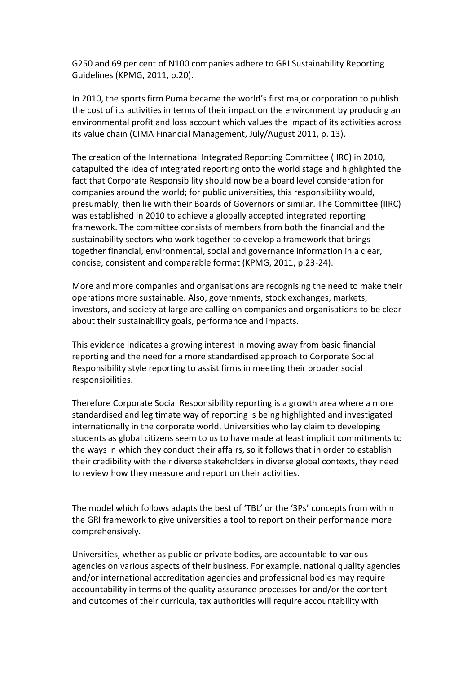G250 and 69 per cent of N100 companies adhere to GRI Sustainability Reporting Guidelines (KPMG, 2011, p.20).

In 2010, the sports firm Puma became the world's first major corporation to publish the cost of its activities in terms of their impact on the environment by producing an environmental profit and loss account which values the impact of its activities across its value chain (CIMA Financial Management, July/August 2011, p. 13).

The creation of the International Integrated Reporting Committee (IIRC) in 2010, catapulted the idea of integrated reporting onto the world stage and highlighted the fact that Corporate Responsibility should now be a board level consideration for companies around the world; for public universities, this responsibility would, presumably, then lie with their Boards of Governors or similar. The Committee (IIRC) was established in 2010 to achieve a globally accepted integrated reporting framework. The committee consists of members from both the financial and the sustainability sectors who work together to develop a framework that brings together financial, environmental, social and governance information in a clear, concise, consistent and comparable format (KPMG, 2011, p.23-24).

More and more companies and organisations are recognising the need to make their operations more sustainable. Also, governments, stock exchanges, markets, investors, and society at large are calling on companies and organisations to be clear about their sustainability goals, performance and impacts.

This evidence indicates a growing interest in moving away from basic financial reporting and the need for a more standardised approach to Corporate Social Responsibility style reporting to assist firms in meeting their broader social responsibilities.

Therefore Corporate Social Responsibility reporting is a growth area where a more standardised and legitimate way of reporting is being highlighted and investigated internationally in the corporate world. Universities who lay claim to developing students as global citizens seem to us to have made at least implicit commitments to the ways in which they conduct their affairs, so it follows that in order to establish their credibility with their diverse stakeholders in diverse global contexts, they need to review how they measure and report on their activities.

The model which follows adapts the best of 'TBL' or the '3Ps' concepts from within the GRI framework to give universities a tool to report on their performance more comprehensively.

Universities, whether as public or private bodies, are accountable to various agencies on various aspects of their business. For example, national quality agencies and/or international accreditation agencies and professional bodies may require accountability in terms of the quality assurance processes for and/or the content and outcomes of their curricula, tax authorities will require accountability with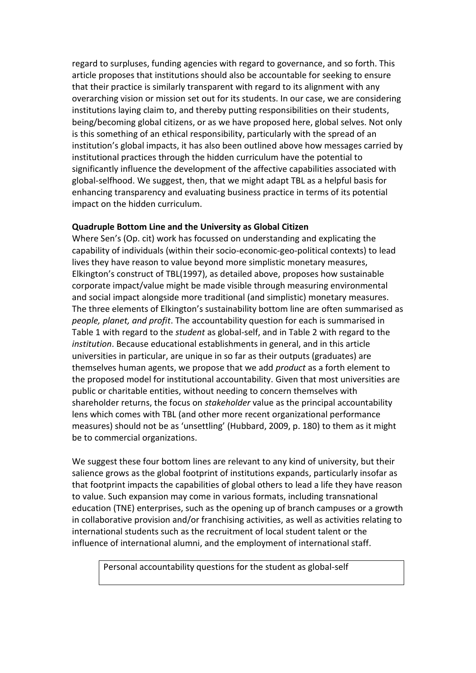regard to surpluses, funding agencies with regard to governance, and so forth. This article proposes that institutions should also be accountable for seeking to ensure that their practice is similarly transparent with regard to its alignment with any overarching vision or mission set out for its students. In our case, we are considering institutions laying claim to, and thereby putting responsibilities on their students, being/becoming global citizens, or as we have proposed here, global selves. Not only is this something of an ethical responsibility, particularly with the spread of an institution's global impacts, it has also been outlined above how messages carried by institutional practices through the hidden curriculum have the potential to significantly influence the development of the affective capabilities associated with global-selfhood. We suggest, then, that we might adapt TBL as a helpful basis for enhancing transparency and evaluating business practice in terms of its potential impact on the hidden curriculum.

#### **Quadruple Bottom Line and the University as Global Citizen**

Where Sen's (Op. cit) work has focussed on understanding and explicating the capability of individuals (within their socio-economic-geo-political contexts) to lead lives they have reason to value beyond more simplistic monetary measures, Elkington's construct of TBL[\(1997\)](#page-10-11), as detailed above, proposes how sustainable corporate impact/value might be made visible through measuring environmental and social impact alongside more traditional (and simplistic) monetary measures. The three elements of Elkington's sustainability bottom line are often summarised as *people, planet, and profit*. The accountability question for each is summarised in Table 1 with regard to the *student* as global-self, and in Table 2 with regard to the *institution*. Because educational establishments in general, and in this article universities in particular, are unique in so far as their outputs (graduates) are themselves human agents, we propose that we add *product* as a forth element to the proposed model for institutional accountability. Given that most universities are public or charitable entities, without needing to concern themselves with shareholder returns, the focus on *stakeholder* value as the principal accountability lens which comes with TBL (and other more recent organizational performance measures) should not be as 'unsettling' [\(Hubbard, 2009, p. 180\)](#page-10-12) to them as it might be to commercial organizations.

We suggest these four bottom lines are relevant to any kind of university, but their salience grows as the global footprint of institutions expands, particularly insofar as that footprint impacts the capabilities of global others to lead a life they have reason to value. Such expansion may come in various formats, including transnational education (TNE) enterprises, such as the opening up of branch campuses or a growth in collaborative provision and/or franchising activities, as well as activities relating to international students such as the recruitment of local student talent or the influence of international alumni, and the employment of international staff.

Personal accountability questions for the student as global-self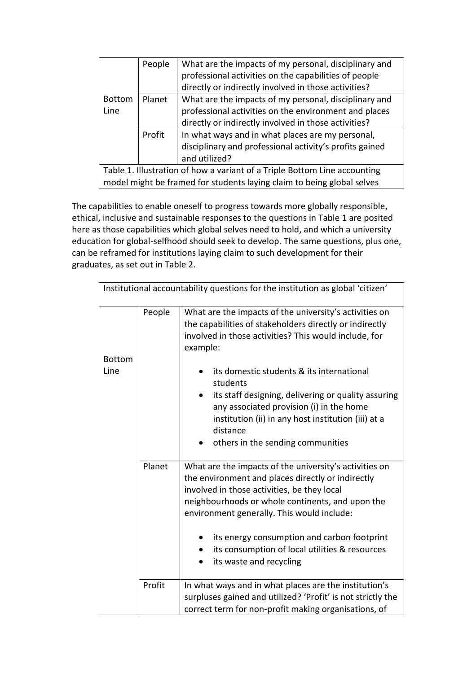|                                                                           | People | What are the impacts of my personal, disciplinary and   |  |  |
|---------------------------------------------------------------------------|--------|---------------------------------------------------------|--|--|
|                                                                           |        | professional activities on the capabilities of people   |  |  |
|                                                                           |        | directly or indirectly involved in those activities?    |  |  |
| <b>Bottom</b>                                                             | Planet | What are the impacts of my personal, disciplinary and   |  |  |
| Line                                                                      |        | professional activities on the environment and places   |  |  |
|                                                                           |        | directly or indirectly involved in those activities?    |  |  |
|                                                                           | Profit | In what ways and in what places are my personal,        |  |  |
|                                                                           |        | disciplinary and professional activity's profits gained |  |  |
|                                                                           |        | and utilized?                                           |  |  |
| Table 1. Illustration of how a variant of a Triple Bottom Line accounting |        |                                                         |  |  |
| model might be framed for students laying claim to being global selves    |        |                                                         |  |  |

The capabilities to enable oneself to progress towards more globally responsible, ethical, inclusive and sustainable responses to the questions in Table 1 are posited here as those capabilities which global selves need to hold, and which a university education for global-selfhood should seek to develop. The same questions, plus one, can be reframed for institutions laying claim to such development for their graduates, as set out in Table 2.

| Institutional accountability questions for the institution as global 'citizen' |        |                                                                                                                                                                                                                                                                                                                                                                                                                                                            |  |  |
|--------------------------------------------------------------------------------|--------|------------------------------------------------------------------------------------------------------------------------------------------------------------------------------------------------------------------------------------------------------------------------------------------------------------------------------------------------------------------------------------------------------------------------------------------------------------|--|--|
| <b>Bottom</b><br>Line                                                          | People | What are the impacts of the university's activities on<br>the capabilities of stakeholders directly or indirectly<br>involved in those activities? This would include, for<br>example:<br>its domestic students & its international<br>students<br>its staff designing, delivering or quality assuring<br>any associated provision (i) in the home<br>institution (ii) in any host institution (iii) at a<br>distance<br>others in the sending communities |  |  |
|                                                                                | Planet | What are the impacts of the university's activities on<br>the environment and places directly or indirectly<br>involved in those activities, be they local<br>neighbourhoods or whole continents, and upon the<br>environment generally. This would include:<br>its energy consumption and carbon footprint<br>its consumption of local utilities & resources<br>its waste and recycling                                                                   |  |  |
|                                                                                | Profit | In what ways and in what places are the institution's<br>surpluses gained and utilized? 'Profit' is not strictly the<br>correct term for non-profit making organisations, of                                                                                                                                                                                                                                                                               |  |  |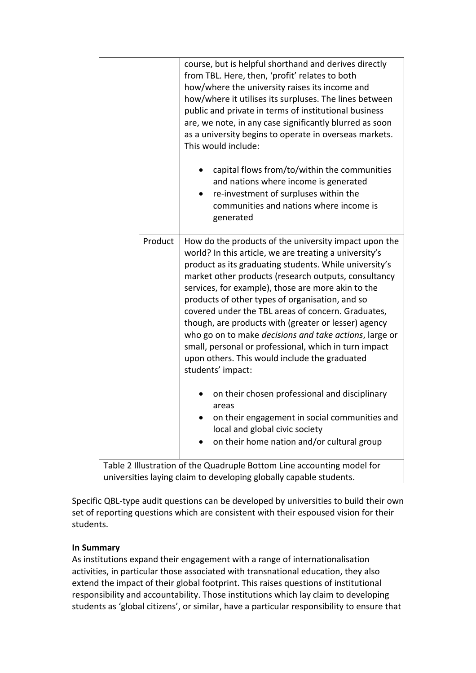|                                                                                                                                              | course, but is helpful shorthand and derives directly<br>from TBL. Here, then, 'profit' relates to both<br>how/where the university raises its income and<br>how/where it utilises its surpluses. The lines between<br>public and private in terms of institutional business<br>are, we note, in any case significantly blurred as soon<br>as a university begins to operate in overseas markets.                                                                                                                                                                                                                                                 |  |  |  |
|----------------------------------------------------------------------------------------------------------------------------------------------|---------------------------------------------------------------------------------------------------------------------------------------------------------------------------------------------------------------------------------------------------------------------------------------------------------------------------------------------------------------------------------------------------------------------------------------------------------------------------------------------------------------------------------------------------------------------------------------------------------------------------------------------------|--|--|--|
|                                                                                                                                              | This would include:<br>capital flows from/to/within the communities<br>and nations where income is generated<br>re-investment of surpluses within the<br>communities and nations where income is<br>generated                                                                                                                                                                                                                                                                                                                                                                                                                                     |  |  |  |
| Product                                                                                                                                      | How do the products of the university impact upon the<br>world? In this article, we are treating a university's<br>product as its graduating students. While university's<br>market other products (research outputs, consultancy<br>services, for example), those are more akin to the<br>products of other types of organisation, and so<br>covered under the TBL areas of concern. Graduates,<br>though, are products with (greater or lesser) agency<br>who go on to make decisions and take actions, large or<br>small, personal or professional, which in turn impact<br>upon others. This would include the graduated<br>students' impact: |  |  |  |
|                                                                                                                                              | on their chosen professional and disciplinary<br>areas<br>on their engagement in social communities and<br>local and global civic society<br>on their home nation and/or cultural group                                                                                                                                                                                                                                                                                                                                                                                                                                                           |  |  |  |
| Table 2 Illustration of the Quadruple Bottom Line accounting model for<br>universities laying claim to developing globally capable students. |                                                                                                                                                                                                                                                                                                                                                                                                                                                                                                                                                                                                                                                   |  |  |  |

Specific QBL-type audit questions can be developed by universities to build their own set of reporting questions which are consistent with their espoused vision for their students.

## **In Summary**

As institutions expand their engagement with a range of internationalisation activities, in particular those associated with transnational education, they also extend the impact of their global footprint. This raises questions of institutional responsibility and accountability. Those institutions which lay claim to developing students as 'global citizens', or similar, have a particular responsibility to ensure that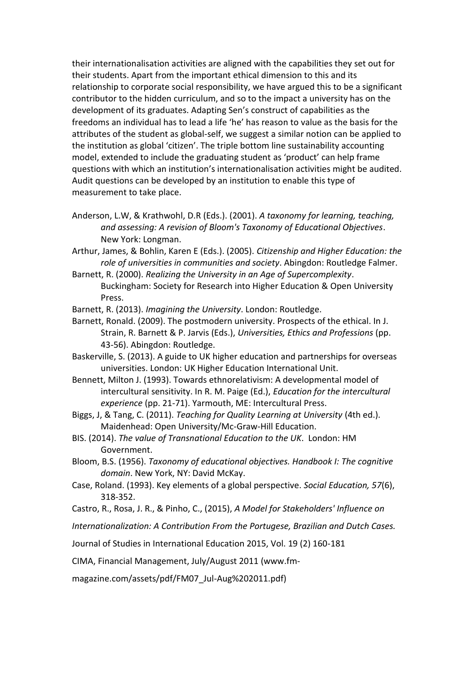their internationalisation activities are aligned with the capabilities they set out for their students. Apart from the important ethical dimension to this and its relationship to corporate social responsibility, we have argued this to be a significant contributor to the hidden curriculum, and so to the impact a university has on the development of its graduates. Adapting Sen's construct of capabilities as the freedoms an individual has to lead a life 'he' has reason to value as the basis for the attributes of the student as global-self, we suggest a similar notion can be applied to the institution as global 'citizen'. The triple bottom line sustainability accounting model, extended to include the graduating student as 'product' can help frame questions with which an institution's internationalisation activities might be audited. Audit questions can be developed by an institution to enable this type of measurement to take place.

<span id="page-9-4"></span>Anderson, L.W, & Krathwohl, D.R (Eds.). (2001). *A taxonomy for learning, teaching, and assessing: A revision of Bloom's Taxonomy of Educational Objectives*. New York: Longman.

<span id="page-9-1"></span>Arthur, James, & Bohlin, Karen E (Eds.). (2005). *Citizenship and Higher Education: the role of universities in communities and society*. Abingdon: Routledge Falmer.

- <span id="page-9-6"></span>Barnett, R. (2000). *Realizing the University in an Age of Supercomplexity*. Buckingham: Society for Research into Higher Education & Open University Press.
- <span id="page-9-7"></span>Barnett, R. (2013). *Imagining the University*. London: Routledge.
- <span id="page-9-8"></span>Barnett, Ronald. (2009). The postmodern university. Prospects of the ethical. In J. Strain, R. Barnett & P. Jarvis (Eds.), *Universities, Ethics and Professions* (pp. 43-56). Abingdon: Routledge.
- <span id="page-9-2"></span>Baskerville, S. (2013). A guide to UK higher education and partnerships for overseas universities. London: UK Higher Education International Unit.
- <span id="page-9-10"></span>Bennett, Milton J. (1993). Towards ethnorelativism: A developmental model of intercultural sensitivity. In R. M. Paige (Ed.), *Education for the intercultural experience* (pp. 21-71). Yarmouth, ME: Intercultural Press.
- <span id="page-9-0"></span>Biggs, J, & Tang, C. (2011). *Teaching for Quality Learning at University* (4th ed.). Maidenhead: Open University/Mc-Graw-Hill Education.
- <span id="page-9-3"></span>BIS. (2014). *The value of Transnational Education to the UK*. London: HM Government.
- <span id="page-9-5"></span>Bloom, B.S. (1956). *Taxonomy of educational objectives. Handbook I: The cognitive domain*. New York, NY: David McKay.
- <span id="page-9-9"></span>Case, Roland. (1993). Key elements of a global perspective. *Social Education, 57*(6), 318-352.
- Castro, R., Rosa, J. R., & Pinho, C., (2015), *A Model for Stakeholders' Influence on*

*Internationalization: A Contribution From the Portugese, Brazilian and Dutch Cases.* 

Journal of Studies in International Education 2015, Vol. 19 (2) 160-181

CIMA, Financial Management, July/August 2011 (www.fm-

magazine.com/assets/pdf/FM07\_Jul-Aug%202011.pdf)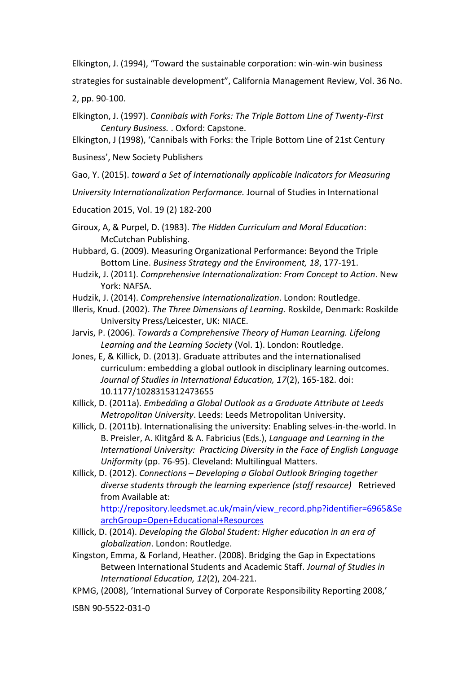Elkington, J. (1994), "Toward the sustainable corporation: win-win-win business

strategies for sustainable development", California Management Review, Vol. 36 No.

2, pp. 90-100.

<span id="page-10-11"></span>Elkington, J. (1997). *Cannibals with Forks: The Triple Bottom Line of Twenty-First Century Business.* . Oxford: Capstone.

[Elkington](http://en.wikipedia.org/wiki/John_Elkington), J (1998), 'Cannibals with Forks: the Triple Bottom Line of 21st Century

Business', New Society Publishers

Gao, Y. (2015). *toward a Set of Internationally applicable Indicators for Measuring* 

*University Internationalization Performance.* Journal of Studies in International

Education 2015, Vol. 19 (2) 182-200

<span id="page-10-4"></span>Giroux, A, & Purpel, D. (1983). *The Hidden Curriculum and Moral Education*: McCutchan Publishing.

<span id="page-10-12"></span>Hubbard, G. (2009). Measuring Organizational Performance: Beyond the Triple Bottom Line. *Business Strategy and the Environment, 18*, 177-191.

- <span id="page-10-5"></span>Hudzik, J. (2011). *Comprehensive Internationalization: From Concept to Action*. New York: NAFSA.
- <span id="page-10-6"></span>Hudzik, J. (2014). *Comprehensive Internationalization*. London: Routledge.
- <span id="page-10-8"></span>Illeris, Knud. (2002). *The Three Dimensions of Learning*. Roskilde, Denmark: Roskilde University Press/Leicester, UK: NIACE.
- <span id="page-10-9"></span>Jarvis, P. (2006). *Towards a Comprehensive Theory of Human Learning. Lifelong Learning and the Learning Society* (Vol. 1). London: Routledge.
- <span id="page-10-10"></span>Jones, E, & Killick, D. (2013). Graduate attributes and the internationalised curriculum: embedding a global outlook in disciplinary learning outcomes. *Journal of Studies in International Education, 17*(2), 165-182. doi: 10.1177/1028315312473655

<span id="page-10-0"></span>Killick, D. (2011a). *Embedding a Global Outlook as a Graduate Attribute at Leeds Metropolitan University*. Leeds: Leeds Metropolitan University.

- <span id="page-10-1"></span>Killick, D. (2011b). Internationalising the university: Enabling selves-in-the-world. In B. Preisler, A. Klitgård & A. Fabricius (Eds.), *Language and Learning in the International University: Practicing Diversity in the Face of English Language Uniformity* (pp. 76-95). Cleveland: Multilingual Matters.
- <span id="page-10-2"></span>Killick, D. (2012). *Connections – Developing a Global Outlook Bringing together diverse students through the learning experience (staff resource)* Retrieved from Available at:

[http://repository.leedsmet.ac.uk/main/view\\_record.php?identifier=6965&Se](http://repository.leedsmet.ac.uk/main/view_record.php?identifier=6965&SearchGroup=Open+Educational+Resources) [archGroup=Open+Educational+Resources](http://repository.leedsmet.ac.uk/main/view_record.php?identifier=6965&SearchGroup=Open+Educational+Resources)

<span id="page-10-3"></span>Killick, D. (2014). *Developing the Global Student: Higher education in an era of globalization*. London: Routledge.

<span id="page-10-7"></span>Kingston, Emma, & Forland, Heather. (2008). Bridging the Gap in Expectations Between International Students and Academic Staff. *Journal of Studies in International Education, 12*(2), 204-221.

KPMG, (2008), 'International Survey of Corporate Responsibility Reporting 2008,'

ISBN 90-5522-031-0